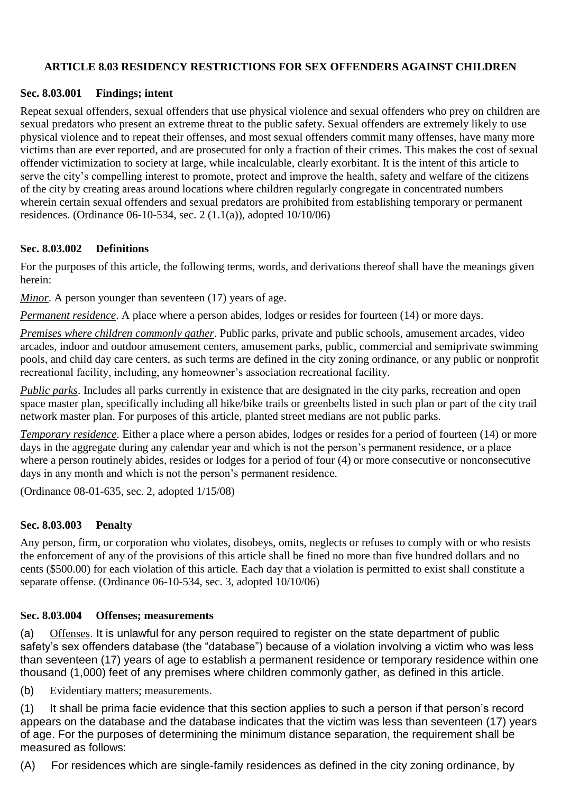## **ARTICLE 8.03 RESIDENCY RESTRICTIONS FOR SEX OFFENDERS AGAINST CHILDREN**

## **Sec. 8.03.001 Findings; intent**

Repeat sexual offenders, sexual offenders that use physical violence and sexual offenders who prey on children are sexual predators who present an extreme threat to the public safety. Sexual offenders are extremely likely to use physical violence and to repeat their offenses, and most sexual offenders commit many offenses, have many more victims than are ever reported, and are prosecuted for only a fraction of their crimes. This makes the cost of sexual offender victimization to society at large, while incalculable, clearly exorbitant. It is the intent of this article to serve the city's compelling interest to promote, protect and improve the health, safety and welfare of the citizens of the city by creating areas around locations where children regularly congregate in concentrated numbers wherein certain sexual offenders and sexual predators are prohibited from establishing temporary or permanent residences. (Ordinance 06-10-534, sec. 2  $(1.1(a))$ , adopted  $10/10/06$ )

## **Sec. 8.03.002 Definitions**

For the purposes of this article, the following terms, words, and derivations thereof shall have the meanings given herein:

*Minor*. A person younger than seventeen (17) years of age.

*Permanent residence*. A place where a person abides, lodges or resides for fourteen (14) or more days.

*Premises where children commonly gather*. Public parks, private and public schools, amusement arcades, video arcades, indoor and outdoor amusement centers, amusement parks, public, commercial and semiprivate swimming pools, and child day care centers, as such terms are defined in the city zoning ordinance, or any public or nonprofit recreational facility, including, any homeowner's association recreational facility.

*Public parks*. Includes all parks currently in existence that are designated in the city parks, recreation and open space master plan, specifically including all hike/bike trails or greenbelts listed in such plan or part of the city trail network master plan. For purposes of this article, planted street medians are not public parks.

*Temporary residence*. Either a place where a person abides, lodges or resides for a period of fourteen (14) or more days in the aggregate during any calendar year and which is not the person's permanent residence, or a place where a person routinely abides, resides or lodges for a period of four (4) or more consecutive or nonconsecutive days in any month and which is not the person's permanent residence.

(Ordinance 08-01-635, sec. 2, adopted 1/15/08)

#### **Sec. 8.03.003 Penalty**

Any person, firm, or corporation who violates, disobeys, omits, neglects or refuses to comply with or who resists the enforcement of any of the provisions of this article shall be fined no more than five hundred dollars and no cents (\$500.00) for each violation of this article. Each day that a violation is permitted to exist shall constitute a separate offense. (Ordinance 06-10-534, sec. 3, adopted 10/10/06)

#### **Sec. 8.03.004 Offenses; measurements**

(a) Offenses. It is unlawful for any person required to register on the state department of public safety's sex offenders database (the "database") because of a violation involving a victim who was less than seventeen (17) years of age to establish a permanent residence or temporary residence within one thousand (1,000) feet of any premises where children commonly gather, as defined in this article.

(b) Evidentiary matters; measurements.

(1) It shall be prima facie evidence that this section applies to such a person if that person's record appears on the database and the database indicates that the victim was less than seventeen (17) years of age. For the purposes of determining the minimum distance separation, the requirement shall be measured as follows:

(A) For residences which are single-family residences as defined in the city zoning ordinance, by